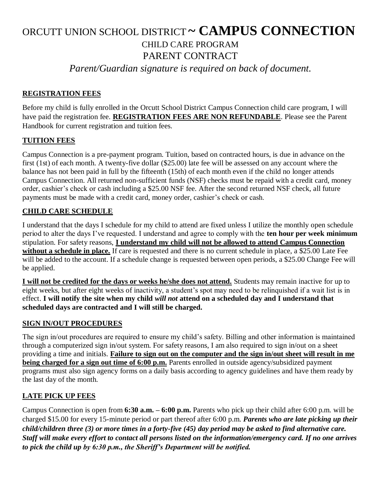# ORCUTT UNION SCHOOL DISTRICT **~ CAMPUS CONNECTION** CHILD CARE PROGRAM PARENT CONTRACT

*Parent/Guardian signature is required on back of document.*

# **REGISTRATION FEES**

Before my child is fully enrolled in the Orcutt School District Campus Connection child care program, I will have paid the registration fee. **REGISTRATION FEES ARE NON REFUNDABLE**. Please see the Parent Handbook for current registration and tuition fees.

# **TUITION FEES**

Campus Connection is a pre-payment program. Tuition, based on contracted hours, is due in advance on the first (1st) of each month. A twenty-five dollar (\$25.00) late fee will be assessed on any account where the balance has not been paid in full by the fifteenth (15th) of each month even if the child no longer attends Campus Connection. All returned non-sufficient funds (NSF) checks must be repaid with a credit card, money order, cashier's check or cash including a \$25.00 NSF fee. After the second returned NSF check, all future payments must be made with a credit card, money order, cashier's check or cash.

# **CHILD CARE SCHEDULE**

I understand that the days I schedule for my child to attend are fixed unless I utilize the monthly open schedule period to alter the days I've requested. I understand and agree to comply with the **ten hour per week minimum** stipulation. For safety reasons, **I understand my child will not be allowed to attend Campus Connection without a schedule in place.** If care is requested and there is no current schedule in place, a \$25.00 Late Fee will be added to the account. If a schedule change is requested between open periods, a \$25.00 Change Fee will be applied.

**I will not be credited for the days or weeks he/she does not attend.** Students may remain inactive for up to eight weeks, but after eight weeks of inactivity, a student's spot may need to be relinquished if a wait list is in effect. **I will notify the site when my child** *will not* **attend on a scheduled day and I understand that scheduled days are contracted and I will still be charged.**

# **SIGN IN/OUT PROCEDURES**

The sign in/out procedures are required to ensure my child's safety. Billing and other information is maintained through a computerized sign in/out system. For safety reasons, I am also required to sign in/out on a sheet providing a time and initials. **Failure to sign out on the computer and the sign in/out sheet will result in me being charged for a sign out time of 6:00 p.m.** Parents enrolled in outside agency/subsidized payment programs must also sign agency forms on a daily basis according to agency guidelines and have them ready by the last day of the month.

# **LATE PICK UP FEES**

Campus Connection is open from **6:30 a.m. – 6:00 p.m.** Parents who pick up their child after 6:00 p.m. will be charged \$15.00 for every 15-minute period or part thereof after 6:00 p.m. *Parents who are late picking up their child/children three (3) or more times in a forty-five (45) day period may be asked to find alternative care. Staff will make every effort to contact all persons listed on the information/emergency card. If no one arrives to pick the child up by 6:30 p.m., the Sheriff's Department will be notified.*